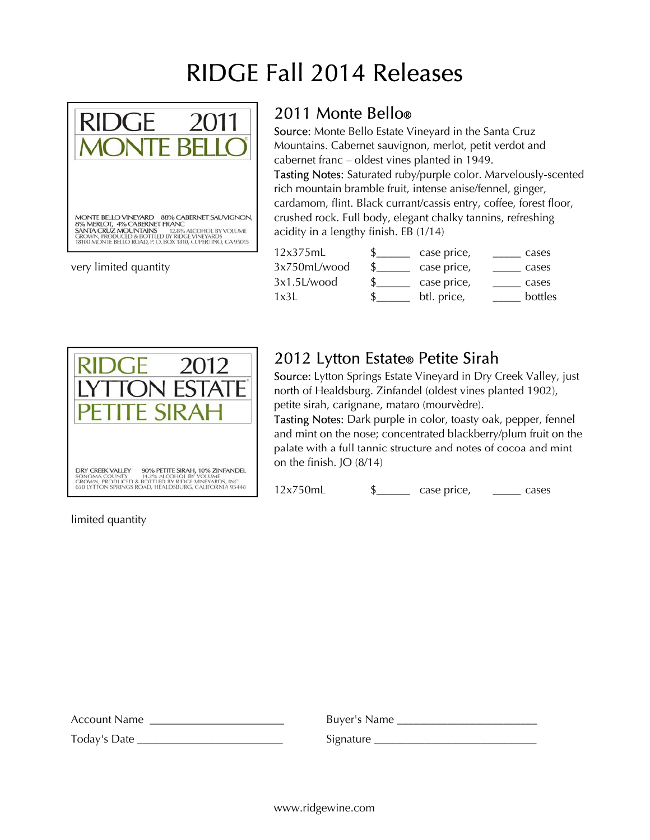# RIDGE Fall 2014 Releases



very limited quantity

#### 2011 Monte Bello®

Source: Monte Bello Estate Vineyard in the Santa Cruz Mountains. Cabernet sauvignon, merlot, petit verdot and cabernet franc – oldest vines planted in 1949. Tasting Notes: Saturated ruby/purple color. Marvelously-scented rich mountain bramble fruit, intense anise/fennel, ginger, cardamom, flint. Black currant/cassis entry, coffee, forest floor, crushed rock. Full body, elegant chalky tannins, refreshing acidity in a lengthy finish. EB (1/14)

| case price, | cases   |
|-------------|---------|
| case price, | cases   |
| case price, | cases   |
| btl. price, | bottles |
|             |         |



### 2012 Lytton Estate® Petite Sirah

Source: Lytton Springs Estate Vineyard in Dry Creek Valley, just north of Healdsburg. Zinfandel (oldest vines planted 1902), petite sirah, carignane, mataro (mourvèdre).

Tasting Notes: Dark purple in color, toasty oak, pepper, fennel and mint on the nose; concentrated blackberry/plum fruit on the palate with a full tannic structure and notes of cocoa and mint<br>on the finish. JO (8/14)

12x750mL \$\_\_\_\_\_\_ case price, \_\_\_\_\_ cases

limited quantity

| Account Name | Buyer's Name |
|--------------|--------------|
| Today's Date | Signature    |